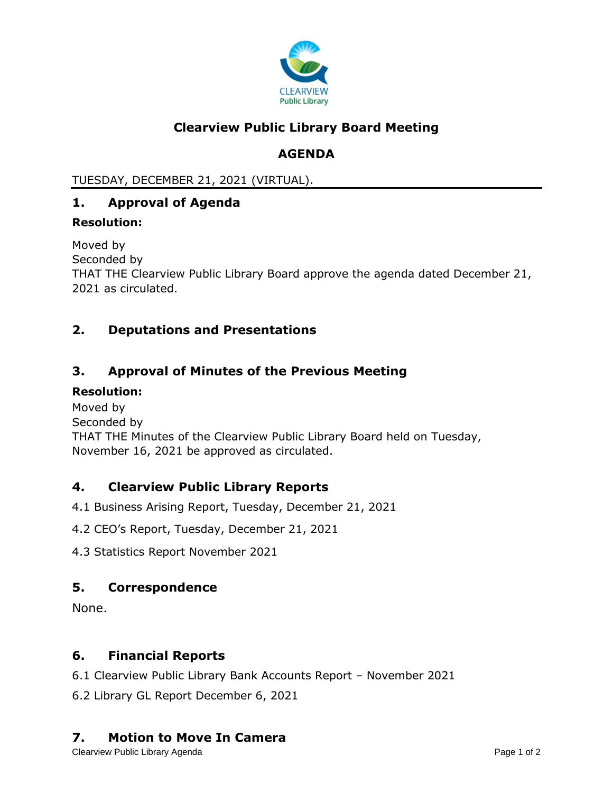

## **Clearview Public Library Board Meeting**

# **AGENDA**

TUESDAY, DECEMBER 21, 2021 (VIRTUAL).

## **1. Approval of Agenda**

#### **Resolution:**

Moved by Seconded by THAT THE Clearview Public Library Board approve the agenda dated December 21, 2021 as circulated.

## **2. Deputations and Presentations**

## **3. Approval of Minutes of the Previous Meeting**

#### **Resolution:**

Moved by Seconded by THAT THE Minutes of the Clearview Public Library Board held on Tuesday, November 16, 2021 be approved as circulated.

## **4. Clearview Public Library Reports**

4.1 Business Arising Report, Tuesday, December 21, 2021

- 4.2 CEO's Report, Tuesday, December 21, 2021
- 4.3 Statistics Report November 2021

#### **5. Correspondence**

None.

## **6. Financial Reports**

6.1 Clearview Public Library Bank Accounts Report – November 2021

6.2 Library GL Report December 6, 2021

## **7. Motion to Move In Camera**

Clearview Public Library Agenda **Page 1 of 2** and 2